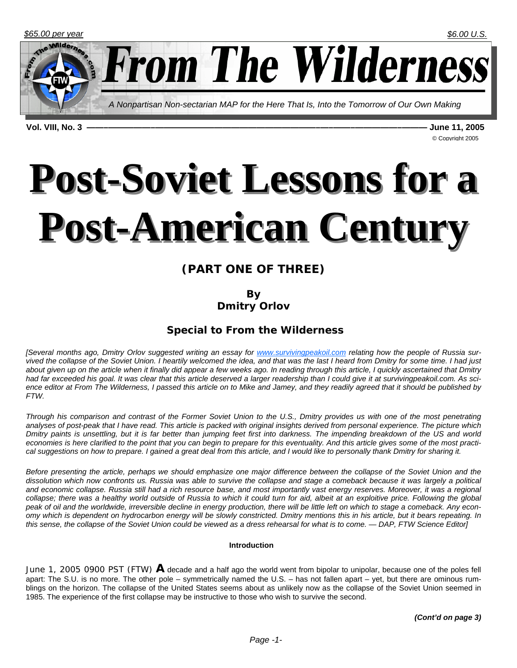

rom The Wilderness

*A Nonpartisan Non-sectarian MAP for the Here That Is, Into the Tomorrow of Our Own Making* 

**Vol. VIII, No. 3 ——–—————–———————————————————–—–——–—————–——— June 11, 2005** 

© Copyright 2005

# **Post-Soviet Lessons for a Post-American Century American Century**

# **(PART ONE OF THREE)**

**By Dmitry Orlov**

# **Special to** *From the Wilderness*

*[Several months ago, Dmitry Orlov suggested writing an essay for www.survivingpeakoil.com relating how the people of Russia survived the collapse of the Soviet Union. I heartily welcomed the idea, and that was the last I heard from Dmitry for some time. I had just*  about given up on the article when it finally did appear a few weeks ago. In reading through this article, I quickly ascertained that Dmitry *had far exceeded his goal. It was clear that this article deserved a larger readership than I could give it at survivingpeakoil.com. As science editor at From The Wilderness, I passed this article on to Mike and Jamey, and they readily agreed that it should be published by FTW.*

*Through his comparison and contrast of the Former Soviet Union to the U.S., Dmitry provides us with one of the most penetrating analyses of post-peak that I have read. This article is packed with original insights derived from personal experience. The picture which Dmitry paints is unsettling, but it is far better than jumping feet first into darkness. The impending breakdown of the US and world economies is here clarified to the point that you can begin to prepare for this eventuality. And this article gives some of the most practical suggestions on how to prepare. I gained a great deal from this article, and I would like to personally thank Dmitry for sharing it.*

*Before presenting the article, perhaps we should emphasize one major difference between the collapse of the Soviet Union and the dissolution which now confronts us. Russia was able to survive the collapse and stage a comeback because it was largely a political*  and economic collapse. Russia still had a rich resource base, and most importantly vast energy reserves. Moreover, it was a regional *collapse; there was a healthy world outside of Russia to which it could turn for aid, albeit at an exploitive price. Following the global peak of oil and the worldwide, irreversible decline in energy production, there will be little left on which to stage a comeback. Any economy which is dependent on hydrocarbon energy will be slowly constricted. Dmitry mentions this in his article, but it bears repeating. In this sense, the collapse of the Soviet Union could be viewed as a dress rehearsal for what is to come. — DAP, FTW Science Editor]*

## **Introduction**

*June 1, 2005 0900 PST (FTW)* **A** decade and a half ago the world went from bipolar to unipolar, because one of the poles fell apart: The S.U. is no more. The other pole – symmetrically named the U.S. – has not fallen apart – yet, but there are ominous rumblings on the horizon. The collapse of the United States seems about as unlikely now as the collapse of the Soviet Union seemed in 1985. The experience of the first collapse may be instructive to those who wish to survive the second.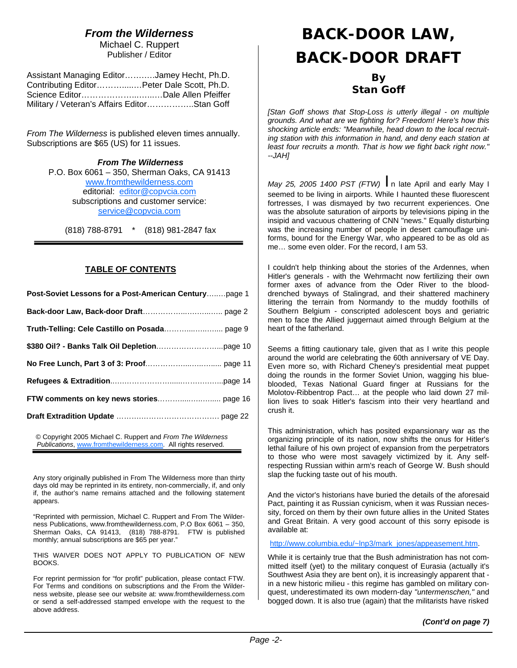# *From the Wilderness*

Michael C. Ruppert Publisher / Editor

| Assistant Managing EditorJamey Hecht, Ph.D.  |  |
|----------------------------------------------|--|
| Contributing EditorPeter Dale Scott, Ph.D.   |  |
|                                              |  |
| Military / Veteran's Affairs EditorStan Goff |  |

*From The Wilderness* is published eleven times annually. Subscriptions are \$65 (US) for 11 issues.

> *From The Wilderness*  P.O. Box 6061 – 350, Sherman Oaks, CA 91413 www.fromthewilderness.com editorial: editor@copvcia.com subscriptions and customer service: service@copvcia.com

(818) 788-8791 \* (818) 981-2847 fax

# **TABLE OF CONTENTS**

| Post-Soviet Lessons for a Post-American Centurypage 1 |
|-------------------------------------------------------|
|                                                       |
|                                                       |
|                                                       |
|                                                       |
|                                                       |
|                                                       |
|                                                       |

© Copyright 2005 Michael C. Ruppert and *From The Wilderness Publications*, www.fromthewilderness.com. All rights reserved.

Any story originally published in From The Wilderness more than thirty days old may be reprinted in its entirety, non-commercially, if, and only if, the author's name remains attached and the following statement appears.

"Reprinted with permission, Michael C. Ruppert and From The Wilderness Publications, www.fromthewilderness.com, P.O Box 6061 – 350, Sherman Oaks, CA 91413, (818) 788-8791. FTW is published monthly; annual subscriptions are \$65 per year."

THIS WAIVER DOES NOT APPLY TO PUBLICATION OF NEW BOOKS.

For reprint permission for "for profit" publication, please contact FTW. For Terms and conditions on subscriptions and the From the Wilderness website, please see our website at: www.fromthewilderness.com or send a self-addressed stamped envelope with the request to the above address.

# **BACK-DOOR LAW, BACK-DOOR DRAFT**

**By Stan Goff** 

*[Stan Goff shows that Stop-Loss is utterly illegal - on multiple grounds. And what are we fighting for? Freedom! Here's how this shocking article ends: "Meanwhile, head down to the local recruiting station with this information in hand, and deny each station at least four recruits a month. That is how we fight back right now." --JAH]*

*May 25, 2005 1400 PST (FTW)* In late April and early May I seemed to be living in airports. While I haunted these fluorescent fortresses, I was dismayed by two recurrent experiences. One was the absolute saturation of airports by televisions piping in the insipid and vacuous chattering of CNN "news." Equally disturbing was the increasing number of people in desert camouflage uniforms, bound for the Energy War, who appeared to be as old as me… some even older. For the record, I am 53.

I couldn't help thinking about the stories of the Ardennes, when Hitler's generals - with the Wehrmacht now fertilizing their own former axes of advance from the Oder River to the blooddrenched byways of Stalingrad, and their shattered machinery littering the terrain from Normandy to the muddy foothills of Southern Belgium - conscripted adolescent boys and geriatric men to face the Allied juggernaut aimed through Belgium at the heart of the fatherland.

Seems a fitting cautionary tale, given that as I write this people around the world are celebrating the 60th anniversary of VE Day. Even more so, with Richard Cheney's presidential meat puppet doing the rounds in the former Soviet Union, wagging his blueblooded, Texas National Guard finger at Russians for the Molotov-Ribbentrop Pact… at the people who laid down 27 million lives to soak Hitler's fascism into their very heartland and crush it.

This administration, which has posited expansionary war as the organizing principle of its nation, now shifts the onus for Hitler's lethal failure of his own project of expansion from the perpetrators to those who were most savagely victimized by it. Any selfrespecting Russian within arm's reach of George W. Bush should slap the fucking taste out of his mouth.

And the victor's historians have buried the details of the aforesaid Pact, painting it as Russian cynicism, when it was Russian necessity, forced on them by their own future allies in the United States and Great Britain. A very good account of this sorry episode is available at:

http://www.columbia.edu/~lnp3/mark\_jones/appeasement.htm.

While it is certainly true that the Bush administration has not committed itself (yet) to the military conquest of Eurasia (actually it's Southwest Asia they are bent on), it is increasingly apparent that in a new historic milieu - this regime has gambled on military conquest, underestimated its own modern-day *"untermenschen,"* and bogged down. It is also true (again) that the militarists have risked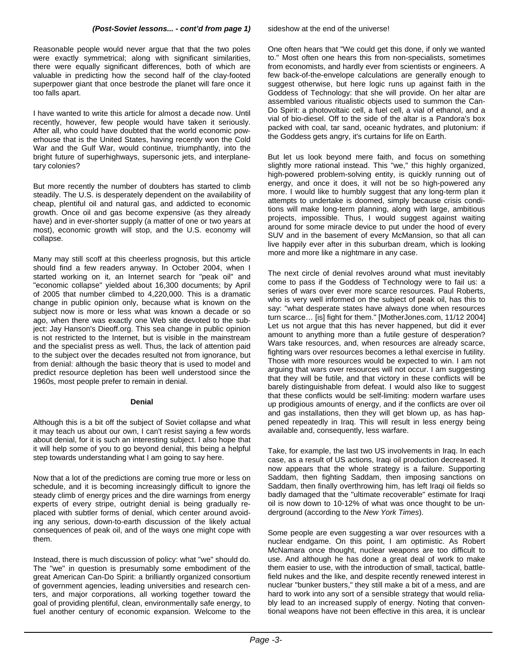Reasonable people would never argue that that the two poles were exactly symmetrical; along with significant similarities, there were equally significant differences, both of which are valuable in predicting how the second half of the clay-footed superpower giant that once bestrode the planet will fare once it too falls apart.

I have wanted to write this article for almost a decade now. Until recently, however, few people would have taken it seriously. After all, who could have doubted that the world economic powerhouse that is the United States, having recently won the Cold War and the Gulf War, would continue, triumphantly, into the bright future of superhighways, supersonic jets, and interplanetary colonies?

But more recently the number of doubters has started to climb steadily. The U.S. is desperately dependent on the availability of cheap, plentiful oil and natural gas, and addicted to economic growth. Once oil and gas become expensive (as they already have) and in ever-shorter supply (a matter of one or two years at most), economic growth will stop, and the U.S. economy will collapse.

Many may still scoff at this cheerless prognosis, but this article should find a few readers anyway. In October 2004, when I started working on it, an Internet search for "peak oil" and "economic collapse" yielded about 16,300 documents; by April of 2005 that number climbed to 4,220,000. This is a dramatic change in public opinion only, because what is known on the subject now is more or less what was known a decade or so ago, when there was exactly one Web site devoted to the subject: Jay Hanson's Dieoff.org. This sea change in public opinion is not restricted to the Internet, but is visible in the mainstream and the specialist press as well. Thus, the lack of attention paid to the subject over the decades resulted not from ignorance, but from denial: although the basic theory that is used to model and predict resource depletion has been well understood since the 1960s, most people prefer to remain in denial.

#### **Denial**

Although this is a bit off the subject of Soviet collapse and what it may teach us about our own, I can't resist saying a few words about denial, for it is such an interesting subject. I also hope that it will help some of you to go beyond denial, this being a helpful step towards understanding what I am going to say here.

Now that a lot of the predictions are coming true more or less on schedule, and it is becoming increasingly difficult to ignore the steady climb of energy prices and the dire warnings from energy experts of every stripe, outright denial is being gradually replaced with subtler forms of denial, which center around avoiding any serious, down-to-earth discussion of the likely actual consequences of peak oil, and of the ways one might cope with them.

Instead, there is much discussion of policy: what "we" should do. The "we" in question is presumably some embodiment of the great American Can-Do Spirit: a brilliantly organized consortium of government agencies, leading universities and research centers, and major corporations, all working together toward the goal of providing plentiful, clean, environmentally safe energy, to fuel another century of economic expansion. Welcome to the sideshow at the end of the universe!

One often hears that "We could get this done, if only we wanted to." Most often one hears this from non-specialists, sometimes from economists, and hardly ever from scientists or engineers. A few back-of-the-envelope calculations are generally enough to suggest otherwise, but here logic runs up against faith in the Goddess of Technology: that she will provide. On her altar are assembled various ritualistic objects used to summon the Can-Do Spirit: a photovoltaic cell, a fuel cell, a vial of ethanol, and a vial of bio-diesel. Off to the side of the altar is a Pandora's box packed with coal, tar sand, oceanic hydrates, and plutonium: if the Goddess gets angry, it's curtains for life on Earth.

But let us look beyond mere faith, and focus on something slightly more rational instead. This "we," this highly organized, high-powered problem-solving entity, is quickly running out of energy, and once it does, it will not be so high-powered any more. I would like to humbly suggest that any long-term plan it attempts to undertake is doomed, simply because crisis conditions will make long-term planning, along with large, ambitious projects, impossible. Thus, I would suggest against waiting around for some miracle device to put under the hood of every SUV and in the basement of every McMansion, so that all can live happily ever after in this suburban dream, which is looking more and more like a nightmare in any case.

The next circle of denial revolves around what must inevitably come to pass if the Goddess of Technology were to fail us: a series of wars over ever more scarce resources. Paul Roberts, who is very well informed on the subject of peak oil, has this to say: "what desperate states have always done when resources turn scarce… [is] fight for them." [MotherJones.com, 11/12 2004] Let us not argue that this has never happened, but did it ever amount to anything more than a futile gesture of desperation? Wars take resources, and, when resources are already scarce, fighting wars over resources becomes a lethal exercise in futility. Those with more resources would be expected to win. I am not arguing that wars over resources will not occur. I am suggesting that they will be futile, and that victory in these conflicts will be barely distinguishable from defeat. I would also like to suggest that these conflicts would be self-limiting: modern warfare uses up prodigious amounts of energy, and if the conflicts are over oil and gas installations, then they will get blown up, as has happened repeatedly in Iraq. This will result in less energy being available and, consequently, less warfare.

Take, for example, the last two US involvements in Iraq. In each case, as a result of US actions, Iraqi oil production decreased. It now appears that the whole strategy is a failure. Supporting Saddam, then fighting Saddam, then imposing sanctions on Saddam, then finally overthrowing him, has left Iraqi oil fields so badly damaged that the "ultimate recoverable" estimate for Iraqi oil is now down to 10-12% of what was once thought to be underground (according to the *New York Times*).

Some people are even suggesting a war over resources with a nuclear endgame. On this point, I am optimistic. As Robert McNamara once thought, nuclear weapons are too difficult to use. And although he has done a great deal of work to make them easier to use, with the introduction of small, tactical, battlefield nukes and the like, and despite recently renewed interest in nuclear "bunker busters," they still make a bit of a mess, and are hard to work into any sort of a sensible strategy that would reliably lead to an increased supply of energy. Noting that conventional weapons have not been effective in this area, it is unclear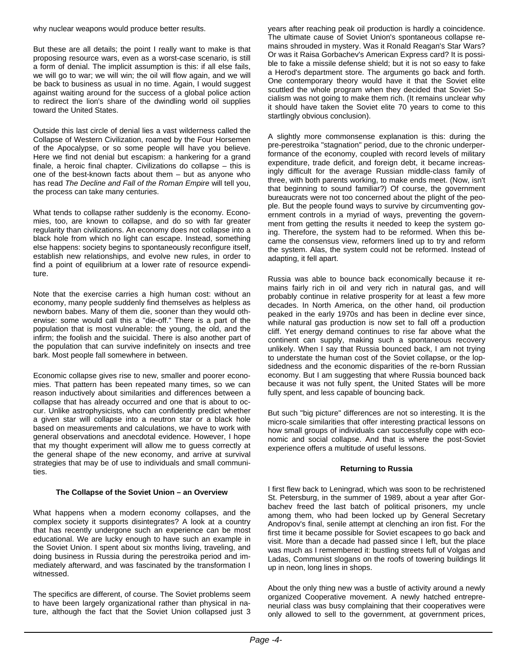why nuclear weapons would produce better results.

But these are all details; the point I really want to make is that proposing resource wars, even as a worst-case scenario, is still a form of denial. The implicit assumption is this: if all else fails, we will go to war; we will win; the oil will flow again, and we will be back to business as usual in no time. Again, I would suggest against waiting around for the success of a global police action to redirect the lion's share of the dwindling world oil supplies toward the United States.

Outside this last circle of denial lies a vast wilderness called the Collapse of Western Civilization, roamed by the Four Horsemen of the Apocalypse, or so some people will have you believe. Here we find not denial but escapism: a hankering for a grand finale, a heroic final chapter. Civilizations do collapse – this is one of the best-known facts about them – but as anyone who has read *The Decline and Fall of the Roman Empire* will tell you, the process can take many centuries.

What tends to collapse rather suddenly is the economy. Economies, too, are known to collapse, and do so with far greater regularity than civilizations. An economy does not collapse into a black hole from which no light can escape. Instead, something else happens: society begins to spontaneously reconfigure itself, establish new relationships, and evolve new rules, in order to find a point of equilibrium at a lower rate of resource expenditure.

Note that the exercise carries a high human cost: without an economy, many people suddenly find themselves as helpless as newborn babes. Many of them die, sooner than they would otherwise: some would call this a "die-off." There is a part of the population that is most vulnerable: the young, the old, and the infirm; the foolish and the suicidal. There is also another part of the population that can survive indefinitely on insects and tree bark. Most people fall somewhere in between.

Economic collapse gives rise to new, smaller and poorer economies. That pattern has been repeated many times, so we can reason inductively about similarities and differences between a collapse that has already occurred and one that is about to occur. Unlike astrophysicists, who can confidently predict whether a given star will collapse into a neutron star or a black hole based on measurements and calculations, we have to work with general observations and anecdotal evidence. However, I hope that my thought experiment will allow me to guess correctly at the general shape of the new economy, and arrive at survival strategies that may be of use to individuals and small communities.

## **The Collapse of the Soviet Union – an Overview**

What happens when a modern economy collapses, and the complex society it supports disintegrates? A look at a country that has recently undergone such an experience can be most educational. We are lucky enough to have such an example in the Soviet Union. I spent about six months living, traveling, and doing business in Russia during the perestroika period and immediately afterward, and was fascinated by the transformation I witnessed.

The specifics are different, of course. The Soviet problems seem to have been largely organizational rather than physical in nature, although the fact that the Soviet Union collapsed just 3 years after reaching peak oil production is hardly a coincidence. The ultimate cause of Soviet Union's spontaneous collapse remains shrouded in mystery. Was it Ronald Reagan's Star Wars? Or was it Raisa Gorbachev's American Express card? It is possible to fake a missile defense shield; but it is not so easy to fake a Herod's department store. The arguments go back and forth. One contemporary theory would have it that the Soviet elite scuttled the whole program when they decided that Soviet Socialism was not going to make them rich. (It remains unclear why it should have taken the Soviet elite 70 years to come to this startlingly obvious conclusion).

A slightly more commonsense explanation is this: during the pre-perestroika "stagnation" period, due to the chronic underperformance of the economy, coupled with record levels of military expenditure, trade deficit, and foreign debt, it became increasingly difficult for the average Russian middle-class family of three, with both parents working, to make ends meet. (Now, isn't that beginning to sound familiar?) Of course, the government bureaucrats were not too concerned about the plight of the people. But the people found ways to survive by circumventing government controls in a myriad of ways, preventing the government from getting the results it needed to keep the system going. Therefore, the system had to be reformed. When this became the consensus view, reformers lined up to try and reform the system. Alas, the system could not be reformed. Instead of adapting, it fell apart.

Russia was able to bounce back economically because it remains fairly rich in oil and very rich in natural gas, and will probably continue in relative prosperity for at least a few more decades. In North America, on the other hand, oil production peaked in the early 1970s and has been in decline ever since, while natural gas production is now set to fall off a production cliff. Yet energy demand continues to rise far above what the continent can supply, making such a spontaneous recovery unlikely. When I say that Russia bounced back, I am not trying to understate the human cost of the Soviet collapse, or the lopsidedness and the economic disparities of the re-born Russian economy. But I am suggesting that where Russia bounced back because it was not fully spent, the United States will be more fully spent, and less capable of bouncing back.

But such "big picture" differences are not so interesting. It is the micro-scale similarities that offer interesting practical lessons on how small groups of individuals can successfully cope with economic and social collapse. And that is where the post-Soviet experience offers a multitude of useful lessons.

## **Returning to Russia**

I first flew back to Leningrad, which was soon to be rechristened St. Petersburg, in the summer of 1989, about a year after Gorbachev freed the last batch of political prisoners, my uncle among them, who had been locked up by General Secretary Andropov's final, senile attempt at clenching an iron fist. For the first time it became possible for Soviet escapees to go back and visit. More than a decade had passed since I left, but the place was much as I remembered it: bustling streets full of Volgas and Ladas, Communist slogans on the roofs of towering buildings lit up in neon, long lines in shops.

About the only thing new was a bustle of activity around a newly organized Cooperative movement. A newly hatched entrepreneurial class was busy complaining that their cooperatives were only allowed to sell to the government, at government prices,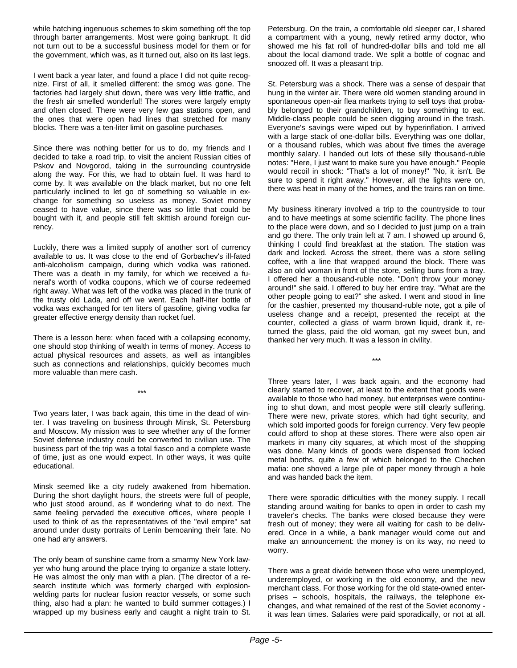while hatching ingenuous schemes to skim something off the top through barter arrangements. Most were going bankrupt. It did not turn out to be a successful business model for them or for the government, which was, as it turned out, also on its last legs.

I went back a year later, and found a place I did not quite recognize. First of all, it smelled different: the smog was gone. The factories had largely shut down, there was very little traffic, and the fresh air smelled wonderful! The stores were largely empty and often closed. There were very few gas stations open, and the ones that were open had lines that stretched for many blocks. There was a ten-liter limit on gasoline purchases.

Since there was nothing better for us to do, my friends and I decided to take a road trip, to visit the ancient Russian cities of Pskov and Novgorod, taking in the surrounding countryside along the way. For this, we had to obtain fuel. It was hard to come by. It was available on the black market, but no one felt particularly inclined to let go of something so valuable in exchange for something so useless as money. Soviet money ceased to have value, since there was so little that could be bought with it, and people still felt skittish around foreign currency.

Luckily, there was a limited supply of another sort of currency available to us. It was close to the end of Gorbachev's ill-fated anti-alcoholism campaign, during which vodka was rationed. There was a death in my family, for which we received a funeral's worth of vodka coupons, which we of course redeemed right away. What was left of the vodka was placed in the trunk of the trusty old Lada, and off we went. Each half-liter bottle of vodka was exchanged for ten liters of gasoline, giving vodka far greater effective energy density than rocket fuel.

There is a lesson here: when faced with a collapsing economy, one should stop thinking of wealth in terms of money. Access to actual physical resources and assets, as well as intangibles such as connections and relationships, quickly becomes much more valuable than mere cash.

\*\*\*

Two years later, I was back again, this time in the dead of winter. I was traveling on business through Minsk, St. Petersburg and Moscow. My mission was to see whether any of the former Soviet defense industry could be converted to civilian use. The business part of the trip was a total fiasco and a complete waste of time, just as one would expect. In other ways, it was quite educational.

Minsk seemed like a city rudely awakened from hibernation. During the short daylight hours, the streets were full of people, who just stood around, as if wondering what to do next. The same feeling pervaded the executive offices, where people I used to think of as the representatives of the "evil empire" sat around under dusty portraits of Lenin bemoaning their fate. No one had any answers.

The only beam of sunshine came from a smarmy New York lawyer who hung around the place trying to organize a state lottery. He was almost the only man with a plan. (The director of a research institute which was formerly charged with explosionwelding parts for nuclear fusion reactor vessels, or some such thing, also had a plan: he wanted to build summer cottages.) I wrapped up my business early and caught a night train to St.

Petersburg. On the train, a comfortable old sleeper car, I shared a compartment with a young, newly retired army doctor, who showed me his fat roll of hundred-dollar bills and told me all about the local diamond trade. We split a bottle of cognac and snoozed off. It was a pleasant trip.

St. Petersburg was a shock. There was a sense of despair that hung in the winter air. There were old women standing around in spontaneous open-air flea markets trying to sell toys that probably belonged to their grandchildren, to buy something to eat. Middle-class people could be seen digging around in the trash. Everyone's savings were wiped out by hyperinflation. I arrived with a large stack of one-dollar bills. Everything was one dollar, or a thousand rubles, which was about five times the average monthly salary. I handed out lots of these silly thousand-ruble notes: "Here, I just want to make sure you have enough." People would recoil in shock: "That's a lot of money!" "No, it isn't. Be sure to spend it right away." However, all the lights were on, there was heat in many of the homes, and the trains ran on time.

My business itinerary involved a trip to the countryside to tour and to have meetings at some scientific facility. The phone lines to the place were down, and so I decided to just jump on a train and go there. The only train left at 7 am. I showed up around 6, thinking I could find breakfast at the station. The station was dark and locked. Across the street, there was a store selling coffee, with a line that wrapped around the block. There was also an old woman in front of the store, selling buns from a tray. I offered her a thousand-ruble note. "Don't throw your money around!" she said. I offered to buy her entire tray. "What are the other people going to eat?" she asked. I went and stood in line for the cashier, presented my thousand-ruble note, got a pile of useless change and a receipt, presented the receipt at the counter, collected a glass of warm brown liquid, drank it, returned the glass, paid the old woman, got my sweet bun, and thanked her very much. It was a lesson in civility.

\*\*\*

Three years later, I was back again, and the economy had clearly started to recover, at least to the extent that goods were available to those who had money, but enterprises were continuing to shut down, and most people were still clearly suffering. There were new, private stores, which had tight security, and which sold imported goods for foreign currency. Very few people could afford to shop at these stores. There were also open air markets in many city squares, at which most of the shopping was done. Many kinds of goods were dispensed from locked metal booths, quite a few of which belonged to the Chechen mafia: one shoved a large pile of paper money through a hole and was handed back the item.

There were sporadic difficulties with the money supply. I recall standing around waiting for banks to open in order to cash my traveler's checks. The banks were closed because they were fresh out of money; they were all waiting for cash to be delivered. Once in a while, a bank manager would come out and make an announcement: the money is on its way, no need to worry.

There was a great divide between those who were unemployed, underemployed, or working in the old economy, and the new merchant class. For those working for the old state-owned enterprises – schools, hospitals, the railways, the telephone exchanges, and what remained of the rest of the Soviet economy it was lean times. Salaries were paid sporadically, or not at all.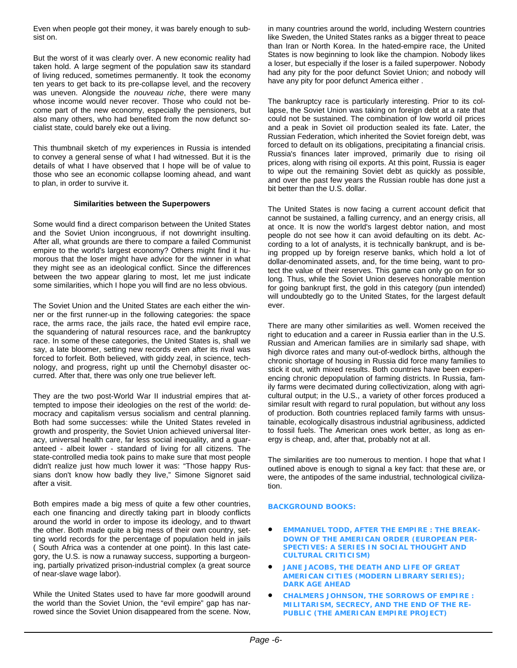Even when people got their money, it was barely enough to subsist on.

But the worst of it was clearly over. A new economic reality had taken hold. A large segment of the population saw its standard of living reduced, sometimes permanently. It took the economy ten years to get back to its pre-collapse level, and the recovery was uneven. Alongside the *nouveau riche*, there were many whose income would never recover. Those who could not become part of the new economy, especially the pensioners, but also many others, who had benefited from the now defunct socialist state, could barely eke out a living.

This thumbnail sketch of my experiences in Russia is intended to convey a general sense of what I had witnessed. But it is the details of what I have observed that I hope will be of value to those who see an economic collapse looming ahead, and want to plan, in order to survive it.

#### **Similarities between the Superpowers**

Some would find a direct comparison between the United States and the Soviet Union incongruous, if not downright insulting. After all, what grounds are there to compare a failed Communist empire to the world's largest economy? Others might find it humorous that the loser might have advice for the winner in what they might see as an ideological conflict. Since the differences between the two appear glaring to most, let me just indicate some similarities, which I hope you will find are no less obvious.

The Soviet Union and the United States are each either the winner or the first runner-up in the following categories: the space race, the arms race, the jails race, the hated evil empire race, the squandering of natural resources race, and the bankruptcy race. In some of these categories, the United States is, shall we say, a late bloomer, setting new records even after its rival was forced to forfeit. Both believed, with giddy zeal, in science, technology, and progress, right up until the Chernobyl disaster occurred. After that, there was only one true believer left.

They are the two post-World War II industrial empires that attempted to impose their ideologies on the rest of the world: democracy and capitalism versus socialism and central planning. Both had some successes: while the United States reveled in growth and prosperity, the Soviet Union achieved universal literacy, universal health care, far less social inequality, and a guaranteed - albeit lower - standard of living for all citizens. The state-controlled media took pains to make sure that most people didn't realize just how much lower it was: "Those happy Russians don't know how badly they live," Simone Signoret said after a visit.

Both empires made a big mess of quite a few other countries, each one financing and directly taking part in bloody conflicts around the world in order to impose its ideology, and to thwart the other. Both made quite a big mess of their own country, setting world records for the percentage of population held in jails ( South Africa was a contender at one point). In this last category, the U.S. is now a runaway success, supporting a burgeoning, partially privatized prison-industrial complex (a great source of near-slave wage labor).

While the United States used to have far more goodwill around the world than the Soviet Union, the "evil empire" gap has narrowed since the Soviet Union disappeared from the scene. Now, in many countries around the world, including Western countries like Sweden, the United States ranks as a bigger threat to peace than Iran or North Korea. In the hated-empire race, the United States is now beginning to look like the champion. Nobody likes a loser, but especially if the loser is a failed superpower. Nobody had any pity for the poor defunct Soviet Union; and nobody will have any pity for poor defunct America either .

The bankruptcy race is particularly interesting. Prior to its collapse, the Soviet Union was taking on foreign debt at a rate that could not be sustained. The combination of low world oil prices and a peak in Soviet oil production sealed its fate. Later, the Russian Federation, which inherited the Soviet foreign debt, was forced to default on its obligations, precipitating a financial crisis. Russia's finances later improved, primarily due to rising oil prices, along with rising oil exports. At this point, Russia is eager to wipe out the remaining Soviet debt as quickly as possible, and over the past few years the Russian rouble has done just a bit better than the U.S. dollar.

The United States is now facing a current account deficit that cannot be sustained, a falling currency, and an energy crisis, all at once. It is now the world's largest debtor nation, and most people do not see how it can avoid defaulting on its debt. According to a lot of analysts, it is technically bankrupt, and is being propped up by foreign reserve banks, which hold a lot of dollar-denominated assets, and, for the time being, want to protect the value of their reserves. This game can only go on for so long. Thus, while the Soviet Union deserves honorable mention for going bankrupt first, the gold in this category (pun intended) will undoubtedly go to the United States, for the largest default ever.

There are many other similarities as well. Women received the right to education and a career in Russia earlier than in the U.S. Russian and American families are in similarly sad shape, with high divorce rates and many out-of-wedlock births, although the chronic shortage of housing in Russia did force many families to stick it out, with mixed results. Both countries have been experiencing chronic depopulation of farming districts. In Russia, family farms were decimated during collectivization, along with agricultural output; in the U.S., a variety of other forces produced a similar result with regard to rural population, but without any loss of production. Both countries replaced family farms with unsustainable, ecologically disastrous industrial agribusiness, addicted to fossil fuels. The American ones work better, as long as energy is cheap, and, after that, probably not at all.

The similarities are too numerous to mention. I hope that what I outlined above is enough to signal a key fact: that these are, or were, the antipodes of the same industrial, technological civilization.

#### **BACKGROUND BOOKS:**

- **EMMANUEL TODD,** *AFTER THE EMPIRE : THE BREAK-DOWN OF THE AMERICAN ORDER* **(EUROPEAN PER-SPECTIVES: A SERIES IN SOCIAL THOUGHT AND CULTURAL CRITICISM)**
- **JANE JACOBS,** *THE DEATH AND LIFE OF GREAT AMERICAN CITIES* **(MODERN LIBRARY SERIES); DARK AGE AHEAD**
- **CHALMERS JOHNSON,** *THE SORROWS OF EMPIRE : MILITARISM, SECRECY, AND THE END OF THE RE-PUBLIC* **(THE AMERICAN EMPIRE PROJECT)**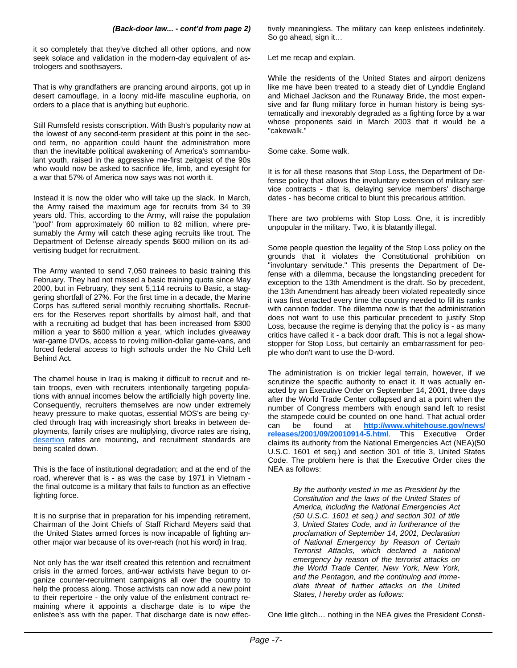#### *(Back-door law... - cont'd from page 2)*

it so completely that they've ditched all other options, and now seek solace and validation in the modern-day equivalent of astrologers and soothsayers.

That is why grandfathers are prancing around airports, got up in desert camouflage, in a loony mid-life masculine euphoria, on orders to a place that is anything but euphoric.

Still Rumsfeld resists conscription. With Bush's popularity now at the lowest of any second-term president at this point in the second term, no apparition could haunt the administration more than the inevitable political awakening of America's somnambulant youth, raised in the aggressive me-first zeitgeist of the 90s who would now be asked to sacrifice life, limb, and eyesight for a war that 57% of America now says was not worth it.

Instead it is now the older who will take up the slack. In March, the Army raised the maximum age for recruits from 34 to 39 years old. This, according to the Army, will raise the population "pool" from approximately 60 million to 82 million, where presumably the Army will catch these aging recruits like trout. The Department of Defense already spends \$600 million on its advertising budget for recruitment.

The Army wanted to send 7,050 trainees to basic training this February. They had not missed a basic training quota since May 2000, but in February, they sent 5,114 recruits to Basic, a staggering shortfall of 27%. For the first time in a decade, the Marine Corps has suffered serial monthly recruiting shortfalls. Recruiters for the Reserves report shortfalls by almost half, and that with a recruiting ad budget that has been increased from \$300 million a year to \$600 million a year, which includes giveaway war-game DVDs, access to roving million-dollar game-vans, and forced federal access to high schools under the No Child Left Behind Act.

The charnel house in Iraq is making it difficult to recruit and retain troops, even with recruiters intentionally targeting populations with annual incomes below the artificially high poverty line. Consequently, recruiters themselves are now under extremely heavy pressure to make quotas, essential MOS's are being cycled through Iraq with increasingly short breaks in between deployments, family crises are multiplying, divorce rates are rising, desertion rates are mounting, and recruitment standards are being scaled down.

This is the face of institutional degradation; and at the end of the road, wherever that is - as was the case by 1971 in Vietnam the final outcome is a military that fails to function as an effective fighting force.

It is no surprise that in preparation for his impending retirement, Chairman of the Joint Chiefs of Staff Richard Meyers said that the United States armed forces is now incapable of fighting another major war because of its over-reach (not his word) in Iraq.

Not only has the war itself created this retention and recruitment crisis in the armed forces, anti-war activists have begun to organize counter-recruitment campaigns all over the country to help the process along. Those activists can now add a new point to their repertoire - the only value of the enlistment contract remaining where it appoints a discharge date is to wipe the enlistee's ass with the paper. That discharge date is now effectively meaningless. The military can keep enlistees indefinitely. So go ahead, sign it…

Let me recap and explain.

While the residents of the United States and airport denizens like me have been treated to a steady diet of Lynddie England and Michael Jackson and the Runaway Bride, the most expensive and far flung military force in human history is being systematically and inexorably degraded as a fighting force by a war whose proponents said in March 2003 that it would be a "cakewalk."

Some cake. Some walk.

It is for all these reasons that Stop Loss, the Department of Defense policy that allows the involuntary extension of military service contracts - that is, delaying service members' discharge dates - has become critical to blunt this precarious attrition.

There are two problems with Stop Loss. One, it is incredibly unpopular in the military. Two, it is blatantly illegal.

Some people question the legality of the Stop Loss policy on the grounds that it violates the Constitutional prohibition on "involuntary servitude." This presents the Department of Defense with a dilemma, because the longstanding precedent for exception to the 13th Amendment is the draft. So by precedent, the 13th Amendment has already been violated repeatedly since it was first enacted every time the country needed to fill its ranks with cannon fodder. The dilemma now is that the administration does not want to use this particular precedent to justify Stop Loss, because the regime is denying that the policy is - as many critics have called it - a back door draft. This is not a legal showstopper for Stop Loss, but certainly an embarrassment for people who don't want to use the D-word.

The administration is on trickier legal terrain, however, if we scrutinize the specific authority to enact it. It was actually enacted by an Executive Order on September 14, 2001, three days after the World Trade Center collapsed and at a point when the number of Congress members with enough sand left to resist the stampede could be counted on one hand. That actual order can be found at **http://www.whitehouse.gov/news/ releases/2001/09/20010914-5.html**. This Executive Order claims its authority from the National Emergencies Act (NEA)(50 U.S.C. 1601 et seq.) and section 301 of title 3, United States Code. The problem here is that the Executive Order cites the NEA as follows:

> *By the authority vested in me as President by the Constitution and the laws of the United States of America, including the National Emergencies Act (50 U.S.C. 1601 et seq.) and section 301 of title 3, United States Code, and in furtherance of the proclamation of September 14, 2001, Declaration of National Emergency by Reason of Certain Terrorist Attacks, which declared a national emergency by reason of the terrorist attacks on the World Trade Center, New York, New York, and the Pentagon, and the continuing and immediate threat of further attacks on the United States, I hereby order as follows:*

One little glitch… nothing in the NEA gives the President Consti-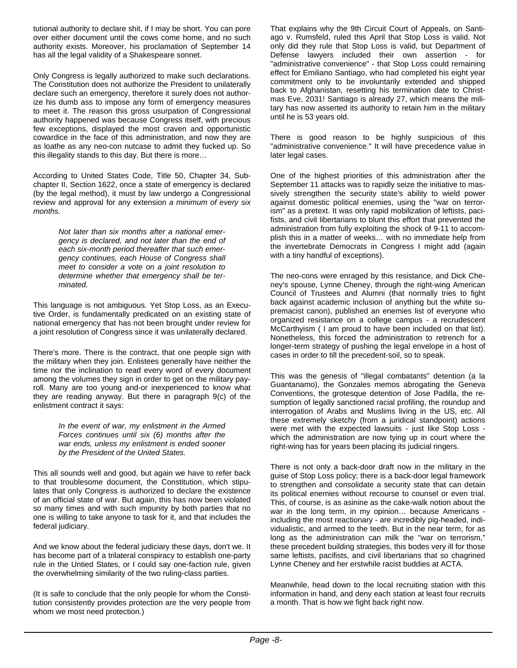tutional authority to declare shit, if I may be short. You can pore over either document until the cows come home, and no such authority exists. Moreover, his proclamation of September 14 has all the legal validity of a Shakespeare sonnet.

Only Congress is legally authorized to make such declarations. The Constitution does not authorize the President to unilaterally declare such an emergency, therefore it surely does not authorize his dumb ass to impose any form of emergency measures to meet it. The reason this gross usurpation of Congressional authority happened was because Congress itself, with precious few exceptions, displayed the most craven and opportunistic cowardice in the face of this administration, and now they are as loathe as any neo-con nutcase to admit they fucked up. So this illegality stands to this day. But there is more…

According to United States Code, Title 50, Chapter 34, Subchapter II, Section 1622, once a state of emergency is declared (by the legal method), it must by law undergo a Congressional review and approval for any extension *a minimum of every six months.*

> *Not later than six months after a national emergency is declared, and not later than the end of each six-month period thereafter that such emergency continues, each House of Congress shall meet to consider a vote on a joint resolution to determine whether that emergency shall be terminated.*

This language is not ambiguous. Yet Stop Loss, as an Executive Order, is fundamentally predicated on an existing state of national emergency that has not been brought under review for a joint resolution of Congress since it was unilaterally declared.

There's more. There is the contract, that one people sign with the military when they join. Enlistees generally have neither the time nor the inclination to read every word of every document among the volumes they sign in order to get on the military payroll. Many are too young and-or inexperienced to know what they are reading anyway. But there in paragraph 9(c) of the enlistment contract it says:

> *In the event of war, my enlistment in the Armed Forces continues until six (6) months after the war ends, unless my enlistment is ended sooner by the President of the United States.*

This all sounds well and good, but again we have to refer back to that troublesome document, the Constitution, which stipulates that only Congress is authorized to declare the existence of an official state of war. But again, this has now been violated so many times and with such impunity by both parties that no one is willing to take anyone to task for it, and that includes the federal judiciary.

And we know about the federal judiciary these days, don't we. It has become part of a trilateral conspiracy to establish one-party rule in the Untied States, or I could say one-faction rule, given the overwhelming similarity of the two ruling-class parties.

(It is safe to conclude that the only people for whom the Constitution consistently provides protection are the very people from whom we most need protection.)

That explains why the 9th Circuit Court of Appeals, on Santiago v. Rumsfeld, ruled this April that Stop Loss is valid. Not only did they rule that Stop Loss is valid, but Department of Defense lawyers included their own assertion - for "administrative convenience" - that Stop Loss could remaining effect for Emiliano Santiago, who had completed his eight year commitment only to be involuntarily extended and shipped back to Afghanistan, resetting his termination date to Christmas Eve, 2031! Santiago is already 27, which means the military has now asserted its authority to retain him in the military until he is 53 years old.

There is good reason to be highly suspicious of this "administrative convenience." It will have precedence value in later legal cases.

One of the highest priorities of this administration after the September 11 attacks was to rapidly seize the initiative to massively strengthen the security state's ability to wield power against domestic political enemies, using the "war on terrorism" as a pretext. It was only rapid mobilization of leftists, pacifists, and civil libertarians to blunt this effort that prevented the administration from fully exploiting the shock of 9-11 to accomplish this in a matter of weeks… with no immediate help from the invertebrate Democrats in Congress I might add (again with a tiny handful of exceptions).

The neo-cons were enraged by this resistance, and Dick Cheney's spouse, Lynne Cheney, through the right-wing American Council of Trustees and Alumni (that normally tries to fight back against academic inclusion of anything but the white supremacist canon), published an enemies list of everyone who organized resistance on a college campus - a recrudescent McCarthyism ( I am proud to have been included on that list). Nonetheless, this forced the administration to retrench for a longer-term strategy of pushing the legal envelope in a host of cases in order to till the precedent-soil, so to speak.

This was the genesis of "illegal combatants" detention (a la Guantanamo), the Gonzales memos abrogating the Geneva Conventions, the grotesque detention of Jose Padilla, the resumption of legally sanctioned racial profiling, the roundup and interrogation of Arabs and Muslims living in the US, etc. All these extremely sketchy (from a juridical standpoint) actions were met with the expected lawsuits - just like Stop Loss which the administration are now tying up in court where the right-wing has for years been placing its judicial ringers.

There is not only a back-door draft now in the military in the guise of Stop Loss policy; there is a back-door legal framework to strengthen and consolidate a security state that can detain its political enemies without recourse to counsel or even trial. This, of course, is as asinine as the cake-walk notion about the war in the long term, in my opinion… because Americans including the most reactionary - are incredibly pig-headed, individualistic, and armed to the teeth. But in the near term, for as long as the administration can milk the "war on terrorism," these precedent building strategies, this bodes very ill for those same leftists, pacifists, and civil libertarians that so chagrined Lynne Cheney and her erstwhile racist buddies at ACTA.

Meanwhile, head down to the local recruiting station with this information in hand, and deny each station at least four recruits a month. That is how we fight back right now.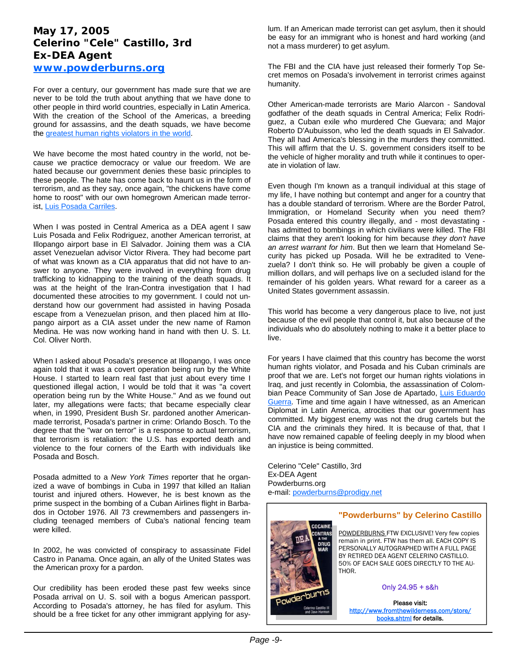# **May 17, 2005 Celerino "Cele" Castillo, 3rd Ex-DEA Agent**

#### **www.powderburns.org**

For over a century, our government has made sure that we are never to be told the truth about anything that we have done to other people in third world countries, especially in Latin America. With the creation of the School of the Americas, a breeding ground for assassins, and the death squads, we have become the greatest human rights violators in the world.

We have become the most hated country in the world, not because we practice democracy or value our freedom. We are hated because our government denies these basic principles to these people. The hate has come back to haunt us in the form of terrorism, and as they say, once again, "the chickens have come home to roost" with our own homegrown American made terrorist, Luis Posada Carriles.

When I was posted in Central America as a DEA agent I saw Luis Posada and Felix Rodriguez, another American terrorist, at Illopango airport base in El Salvador. Joining them was a CIA asset Venezuelan advisor Victor Rivera. They had become part of what was known as a CIA apparatus that did not have to answer to anyone. They were involved in everything from drug trafficking to kidnapping to the training of the death squads. It was at the height of the Iran-Contra investigation that I had documented these atrocities to my government. I could not understand how our government had assisted in having Posada escape from a Venezuelan prison, and then placed him at Illopango airport as a CIA asset under the new name of Ramon Medina. He was now working hand in hand with then U. S. Lt. Col. Oliver North.

When I asked about Posada's presence at Illopango, I was once again told that it was a covert operation being run by the White House. I started to learn real fast that just about every time I questioned illegal action, I would be told that it was "a covert operation being run by the White House." And as we found out later, my allegations were facts; that became especially clear when, in 1990, President Bush Sr. pardoned another Americanmade terrorist, Posada's partner in crime: Orlando Bosch. To the degree that the "war on terror" is a response to actual terrorism, that terrorism is retaliation: the U.S. has exported death and violence to the four corners of the Earth with individuals like Posada and Bosch.

Posada admitted to a *New York Times* reporter that he organized a wave of bombings in Cuba in 1997 that killed an Italian tourist and injured others. However, he is best known as the prime suspect in the bombing of a Cuban Airlines flight in Barbados in October 1976. All 73 crewmembers and passengers including teenaged members of Cuba's national fencing team were killed.

In 2002, he was convicted of conspiracy to assassinate Fidel Castro in Panama. Once again, an ally of the United States was the American proxy for a pardon.

Our credibility has been eroded these past few weeks since Posada arrival on U. S. soil with a bogus American passport. According to Posada's attorney, he has filed for asylum. This should be a free ticket for any other immigrant applying for asylum. If an American made terrorist can get asylum, then it should be easy for an immigrant who is honest and hard working (and not a mass murderer) to get asylum.

The FBI and the CIA have just released their formerly Top Secret memos on Posada's involvement in terrorist crimes against humanity.

Other American-made terrorists are Mario Alarcon - Sandoval godfather of the death squads in Central America; Felix Rodriguez, a Cuban exile who murdered Che Guevara; and Major Roberto D'Aubuisson, who led the death squads in El Salvador. They all had America's blessing in the murders they committed. This will affirm that the U. S. government considers itself to be the vehicle of higher morality and truth while it continues to operate in violation of law.

Even though I'm known as a tranquil individual at this stage of my life, I have nothing but contempt and anger for a country that has a double standard of terrorism. Where are the Border Patrol, Immigration, or Homeland Security when you need them? Posada entered this country illegally, and - most devastating has admitted to bombings in which civilians were killed. The FBI claims that they aren't looking for him because *they don't have an arrest warrant for him*. But then we learn that Homeland Security has picked up Posada. Will he be extradited to Venezuela? I don't think so. He will probably be given a couple of million dollars, and will perhaps live on a secluded island for the remainder of his golden years. What reward for a career as a United States government assassin.

This world has become a very dangerous place to live, not just because of the evil people that control it, but also because of the individuals who do absolutely nothing to make it a better place to live.

For years I have claimed that this country has become the worst human rights violator, and Posada and his Cuban criminals are proof that we are. Let's not forget our human rights violations in Iraq, and just recently in Colombia, the assassination of Colombian Peace Community of San Jose de Apartado, Luis Eduardo Guerra. Time and time again I have witnessed, as an American Diplomat in Latin America, atrocities that our government has committed. My biggest enemy was not the drug cartels but the CIA and the criminals they hired. It is because of that, that I have now remained capable of feeling deeply in my blood when an injustice is being committed.

Celerino "Cele" Castillo, 3rd Ex-DEA Agent Powderburns.org e-mail: powderburns@prodigy.net



# **"Powderburns" by Celerino Castillo**

POWDERBURNS FTW EXCLUSIVE! Very few copies remain in print. FTW has them all. EACH COPY IS PERSONALLY AUTOGRAPHED WITH A FULL PAGE BY RETIRED DEA AGENT CELERINO CASTILLO. 50% OF EACH SALE GOES DIRECTLY TO THE AU-THOR.

#### Only 24.95 + s&h

Please visit: http://www.fromthewilderness.com/store/ books.shtml for details.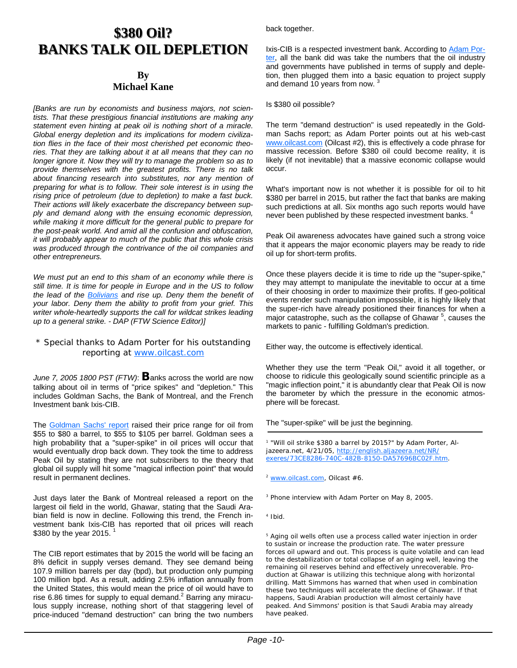# **\$380 Oil? \$380 Oil? BANKS TALK OIL DEPLETION BANKS TALK OIL DEPLETION**

## **By**

# **Michael Kane**

*[Banks are run by economists and business majors, not scientists. That these prestigious financial institutions are making any statement even hinting at peak oil is nothing short of a miracle. Global energy depletion and its implications for modern civilization flies in the face of their most cherished pet economic theories. That they are talking about it at all means that they can no longer ignore it. Now they will try to manage the problem so as to provide themselves with the greatest profits. There is no talk about financing research into substitutes, nor any mention of preparing for what is to follow. Their sole interest is in using the rising price of petroleum (due to depletion) to make a fast buck. Their actions will likely exacerbate the discrepancy between supply and demand along with the ensuing economic depression, while making it more difficult for the general public to prepare for the post-peak world. And amid all the confusion and obfuscation, it will probably appear to much of the public that this whole crisis was produced through the contrivance of the oil companies and other entrepreneurs.* 

*We must put an end to this sham of an economy while there is still time. It is time for people in Europe and in the US to follow the lead of the Bolivians and rise up. Deny them the benefit of your labor. Deny them the ability to profit from your grief. This writer whole-heartedly supports the call for wildcat strikes leading up to a general strike. - DAP (FTW Science Editor)]*

## *\* Special thanks to Adam Porter for his outstanding reporting at www.oilcast.com*

*June 7, 2005 1800 PST (FTW)*: **B**anks across the world are now talking about oil in terms of "price spikes" and "depletion." This includes Goldman Sachs, the Bank of Montreal, and the French Investment bank Ixis-CIB.

The Goldman Sachs' report raised their price range for oil from \$55 to \$80 a barrel, to \$55 to \$105 per barrel. Goldman sees a high probability that a "super-spike" in oil prices will occur that would eventually drop back down. They took the time to address Peak Oil by stating they are not subscribers to the theory that global oil supply will hit some "magical inflection point" that would result in permanent declines.

Just days later the Bank of Montreal released a report on the largest oil field in the world, Ghawar, stating that the Saudi Arabian field is now in decline. Following this trend, the French investment bank Ixis-CIB has reported that oil prices will reach \$380 by the year 2015.  $1$ 

The CIB report estimates that by 2015 the world will be facing an 8% deficit in supply verses demand. They see demand being 107.9 million barrels per day (bpd), but production only pumping 100 million bpd. As a result, adding 2.5% inflation annually from the United States, this would mean the price of oil would have to rise 6.86 times for supply to equal demand. $2$  Barring any miraculous supply increase, nothing short of that staggering level of price-induced "demand destruction" can bring the two numbers

back together.

Ixis-CIB is a respected investment bank. According to Adam Porter, all the bank did was take the numbers that the oil industry and governments have published in terms of supply and depletion, then plugged them into a basic equation to project supply and demand 10 years from now. <sup>3</sup>

Is \$380 oil possible?

The term "demand destruction" is used repeatedly in the Goldman Sachs report; as Adam Porter points out at his web-cast www.oilcast.com (Oilcast #2), this is effectively a code phrase for massive recession. Before \$380 oil could become reality, it is likely (if not inevitable) that a massive economic collapse would occur.

What's important now is not whether it is possible for oil to hit \$380 per barrel in 2015, but rather the fact that banks are making such predictions at all. Six months ago such reports would have never been published by these respected investment banks.<sup>4</sup>

Peak Oil awareness advocates have gained such a strong voice that it appears the major economic players may be ready to ride oil up for short-term profits.

Once these players decide it is time to ride up the "super-spike," they may attempt to manipulate the inevitable to occur at a time of their choosing in order to maximize their profits. If geo-political events render such manipulation impossible, it is highly likely that the super-rich have already positioned their finances for when a major catastrophe, such as the collapse of Ghawar <sup>5</sup>, causes the markets to panic - fulfilling Goldman's prediction.

Either way, the outcome is effectively identical.

Whether they use the term "Peak Oil," avoid it all together, or choose to ridicule this geologically sound scientific principle as a "magic inflection point," it is abundantly clear that Peak Oil is now the barometer by which the pressure in the economic atmosphere will be forecast.

The "super-spike" will be just the beginning.

1 "Will oil strike \$380 a barrel by 2015?" by Adam Porter, *Aljazeera.net*, 4/21/05, http://english.aljazeera.net/NR/ exeres/73CE8286-740C-482B-8150-DA57696BC02F.htm.

<sup>2</sup> www.oilcast.com, Oilcast #6.

3 Phone interview with Adam Porter on May 8, 2005.

4 Ibid.

<sup>5</sup> Aging oil wells often use a process called water injection in order to sustain or increase the production rate. The water pressure forces oil upward and out. This process is quite volatile and can lead to the destabilization or total collapse of an aging well, leaving the remaining oil reserves behind and effectively unrecoverable. Production at Ghawar is utilizing this technique along with horizontal drilling. Matt Simmons has warned that when used in combination these two techniques will accelerate the decline of Ghawar. If that happens, Saudi Arabian production will almost certainly have peaked. And Simmons' position is that Saudi Arabia may already have peaked.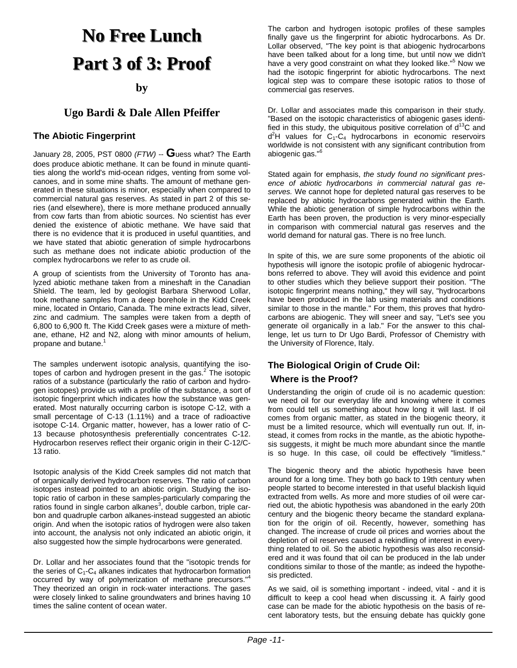# **No Free Lunch Part 3 of 3: Proof Part 3 of 3: Proof**

# **by**

# **Ugo Bardi & Dale Allen Pfeiffer**

# **The Abiotic Fingerprint**

January 28, 2005, PST 0800 *(FTW)* -- **G**uess what? The Earth does produce abiotic methane. It can be found in minute quantities along the world's mid-ocean ridges, venting from some volcanoes, and in some mine shafts. The amount of methane generated in these situations is minor, especially when compared to commercial natural gas reserves. As stated in part 2 of this series (and elsewhere), there is more methane produced annually from cow farts than from abiotic sources. No scientist has ever denied the existence of abiotic methane. We have said that there is no evidence that it is produced in useful quantities, and we have stated that abiotic generation of simple hydrocarbons such as methane does not indicate abiotic production of the complex hydrocarbons we refer to as crude oil.

A group of scientists from the University of Toronto has analyzed abiotic methane taken from a mineshaft in the Canadian Shield. The team, led by geologist Barbara Sherwood Lollar, took methane samples from a deep borehole in the Kidd Creek mine, located in Ontario, Canada. The mine extracts lead, silver, zinc and cadmium. The samples were taken from a depth of 6,800 to 6,900 ft. The Kidd Creek gases were a mixture of methane, ethane, H2 and N2, along with minor amounts of helium, propane and butane.<sup>1</sup>

The samples underwent isotopic analysis, quantifying the isotopes of carbon and hydrogen present in the gas. $2^2$  The isotopic ratios of a substance (particularly the ratio of carbon and hydrogen isotopes) provide us with a profile of the substance, a sort of isotopic fingerprint which indicates how the substance was generated. Most naturally occurring carbon is isotope C-12, with a small percentage of C-13 (1.11%) and a trace of radioactive isotope C-14. Organic matter, however, has a lower ratio of C-13 because photosynthesis preferentially concentrates C-12. Hydrocarbon reserves reflect their organic origin in their C-12/C-13 ratio.

Isotopic analysis of the Kidd Creek samples did not match that of organically derived hydrocarbon reserves. The ratio of carbon isotopes instead pointed to an abiotic origin. Studying the isotopic ratio of carbon in these samples-particularly comparing the ratios found in single carbon alkanes<sup>3</sup>, double carbon, triple carbon and quadruple carbon alkanes-instead suggested an abiotic origin. And when the isotopic ratios of hydrogen were also taken into account, the analysis not only indicated an abiotic origin, it also suggested how the simple hydrocarbons were generated.

Dr. Lollar and her associates found that the "isotopic trends for the series of  $C_1$ - $C_4$  alkanes indicates that hydrocarbon formation occurred by way of polymerization of methane precursors.<sup>"4</sup> They theorized an origin in rock-water interactions. The gases were closely linked to saline groundwaters and brines having 10 times the saline content of ocean water.

The carbon and hydrogen isotopic profiles of these samples finally gave us the fingerprint for abiotic hydrocarbons. As Dr. Lollar observed, "The key point is that abiogenic hydrocarbons have been talked about for a long time, but until now we didn't have a very good constraint on what they looked like."<sup>5</sup> Now we had the isotopic fingerprint for abiotic hydrocarbons. The next logical step was to compare these isotopic ratios to those of commercial gas reserves.

Dr. Lollar and associates made this comparison in their study. "Based on the isotopic characteristics of abiogenic gases identified in this study, the ubiquitous positive correlation of  $d^{13}C$  and  $d^2H$  values for  $C_1-C_4$  hydrocarbons in economic reservoirs worldwide is not consistent with any significant contribution from abiogenic gas."<sup>6</sup>

Stated again for emphasis, *the study found no significant presence of abiotic hydrocarbons in commercial natural gas reserves.* We cannot hope for depleted natural gas reserves to be replaced by abiotic hydrocarbons generated within the Earth. While the abiotic generation of simple hydrocarbons within the Earth has been proven, the production is very minor-especially in comparison with commercial natural gas reserves and the world demand for natural gas. There is no free lunch.

In spite of this, we are sure some proponents of the abiotic oil hypothesis will ignore the isotopic profile of abiogenic hydrocarbons referred to above. They will avoid this evidence and point to other studies which they believe support their position. "The isotopic fingerprint means nothing," they will say, "hydrocarbons have been produced in the lab using materials and conditions similar to those in the mantle." For them, this proves that hydrocarbons are abiogenic. They will sneer and say, "Let's see you generate oil organically in a lab." For the answer to this challenge, let us turn to Dr Ugo Bardi, Professor of Chemistry with the University of Florence, Italy.

# **The Biological Origin of Crude Oil: Where is the Proof?**

Understanding the origin of crude oil is no academic question: we need oil for our everyday life and knowing where it comes from could tell us something about how long it will last. If oil comes from organic matter, as stated in the biogenic theory, it must be a limited resource, which will eventually run out. If, instead, it comes from rocks in the mantle, as the abiotic hypothesis suggests, it might be much more abundant since the mantle is so huge. In this case, oil could be effectively "limitless."

The biogenic theory and the abiotic hypothesis have been around for a long time. They both go back to 19th century when people started to become interested in that useful blackish liquid extracted from wells. As more and more studies of oil were carried out, the abiotic hypothesis was abandoned in the early 20th century and the biogenic theory became the standard explanation for the origin of oil. Recently, however, something has changed. The increase of crude oil prices and worries about the depletion of oil reserves caused a rekindling of interest in everything related to oil. So the abiotic hypothesis was also reconsidered and it was found that oil can be produced in the lab under conditions similar to those of the mantle; as indeed the hypothesis predicted.

As we said, oil is something important - indeed, vital - and it is difficult to keep a cool head when discussing it. A fairly good case can be made for the abiotic hypothesis on the basis of recent laboratory tests, but the ensuing debate has quickly gone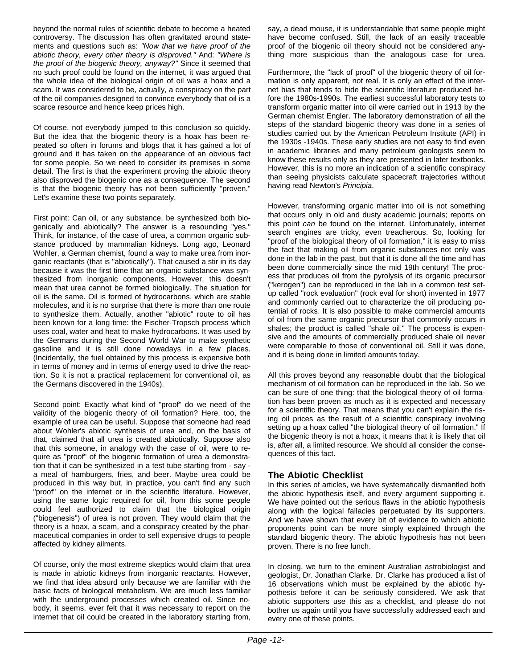beyond the normal rules of scientific debate to become a heated controversy. The discussion has often gravitated around statements and questions such as: *"Now that we have proof of the abiotic theory, every other theory is disproved."* And: *"Where is the proof of the biogenic theory, anyway?"* Since it seemed that no such proof could be found on the internet, it was argued that the whole idea of the biological origin of oil was a hoax and a scam. It was considered to be, actually, a conspiracy on the part of the oil companies designed to convince everybody that oil is a scarce resource and hence keep prices high.

Of course, not everybody jumped to this conclusion so quickly. But the idea that the biogenic theory is a hoax has been repeated so often in forums and blogs that it has gained a lot of ground and it has taken on the appearance of an obvious fact for some people. So we need to consider its premises in some detail. The first is that the experiment proving the abiotic theory also disproved the biogenic one as a consequence. The second is that the biogenic theory has not been sufficiently "proven." Let's examine these two points separately.

First point: Can oil, or any substance, be synthesized both biogenically and abiotically? The answer is a resounding "yes." Think, for instance, of the case of urea, a common organic substance produced by mammalian kidneys. Long ago, Leonard Wohler, a German chemist, found a way to make urea from inorganic reactants (that is "abiotically"). That caused a stir in its day because it was the first time that an organic substance was synthesized from inorganic components. However, this doesn't mean that urea cannot be formed biologically. The situation for oil is the same. Oil is formed of hydrocarbons, which are stable molecules, and it is no surprise that there is more than one route to synthesize them. Actually, another "abiotic" route to oil has been known for a long time: the Fischer-Tropsch process which uses coal, water and heat to make hydrocarbons. It was used by the Germans during the Second World War to make synthetic gasoline and it is still done nowadays in a few places. (Incidentally, the fuel obtained by this process is expensive both in terms of money and in terms of energy used to drive the reaction. So it is not a practical replacement for conventional oil, as the Germans discovered in the 1940s).

Second point: Exactly what kind of "proof" do we need of the validity of the biogenic theory of oil formation? Here, too, the example of urea can be useful. Suppose that someone had read about Wohler's abiotic synthesis of urea and, on the basis of that, claimed that all urea is created abiotically. Suppose also that this someone, in analogy with the case of oil, were to require as "proof" of the biogenic formation of urea a demonstration that it can be synthesized in a test tube starting from - say a meal of hamburgers, fries, and beer. Maybe urea could be produced in this way but, in practice, you can't find any such "proof" on the internet or in the scientific literature. However, using the same logic required for oil, from this some people could feel authorized to claim that the biological origin ("biogenesis") of urea is not proven. They would claim that the theory is a hoax, a scam, and a conspiracy created by the pharmaceutical companies in order to sell expensive drugs to people affected by kidney ailments.

Of course, only the most extreme skeptics would claim that urea is made in abiotic kidneys from inorganic reactants. However, we find that idea absurd only because we are familiar with the basic facts of biological metabolism. We are much less familiar with the underground processes which created oil. Since nobody, it seems, ever felt that it was necessary to report on the internet that oil could be created in the laboratory starting from,

say, a dead mouse, it is understandable that some people might have become confused. Still, the lack of an easily traceable proof of the biogenic oil theory should not be considered anything more suspicious than the analogous case for urea.

Furthermore, the "lack of proof" of the biogenic theory of oil formation is only apparent, not real. It is only an effect of the internet bias that tends to hide the scientific literature produced before the 1980s-1990s. The earliest successful laboratory tests to transform organic matter into oil were carried out in 1913 by the German chemist Engler. The laboratory demonstration of all the steps of the standard biogenic theory was done in a series of studies carried out by the American Petroleum Institute (API) in the 1930s -1940s. These early studies are not easy to find even in academic libraries and many petroleum geologists seem to know these results only as they are presented in later textbooks. However, this is no more an indication of a scientific conspiracy than seeing physicists calculate spacecraft trajectories without having read Newton's *Principia*.

However, transforming organic matter into oil is not something that occurs only in old and dusty academic journals; reports on this point *can* be found on the internet. Unfortunately, internet search engines are tricky, even treacherous. So, looking for "proof of the biological theory of oil formation," it is easy to miss the fact that making oil from organic substances not only was done in the lab in the past, but that it is done all the time and has been done commercially since the mid 19th century! The process that produces oil from the pyrolysis of its organic precursor ("kerogen") can be reproduced in the lab in a common test setup called "rock evaluation" (rock eval for short) invented in 1977 and commonly carried out to characterize the oil producing potential of rocks. It is also possible to make commercial amounts of oil from the same organic precursor that commonly occurs in shales; the product is called "shale oil." The process is expensive and the amounts of commercially produced shale oil never were comparable to those of conventional oil. Still it was done, and it is being done in limited amounts today.

All this proves beyond any reasonable doubt that the biological mechanism of oil formation can be reproduced in the lab. So we can be sure of one thing: that the biological theory of oil formation has been proven as much as it is expected and necessary for a scientific theory. That means that you can't explain the rising oil prices as the result of a scientific conspiracy involving setting up a hoax called "the biological theory of oil formation." If the biogenic theory is not a hoax, it means that it is likely that oil is, after all, a limited resource. We should all consider the consequences of this fact.

# **The Abiotic Checklist**

In this series of articles, we have systematically dismantled both the abiotic hypothesis itself, and every argument supporting it. We have pointed out the serious flaws in the abiotic hypothesis along with the logical fallacies perpetuated by its supporters. And we have shown that every bit of evidence to which abiotic proponents point can be more simply explained through the standard biogenic theory. The abiotic hypothesis has not been proven. There is no free lunch.

In closing, we turn to the eminent Australian astrobiologist and geologist, Dr. Jonathan Clarke. Dr. Clarke has produced a list of 16 observations which must be explained by the abiotic hypothesis before it can be seriously considered. We ask that abiotic supporters use this as a checklist, and please do not bother us again until you have successfully addressed each and every one of these points.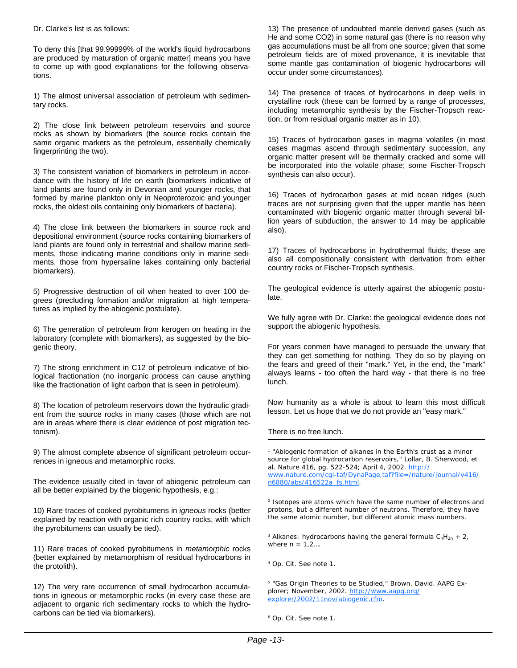Dr. Clarke's list is as follows:

To deny this [that 99.99999% of the world's liquid hydrocarbons are produced by maturation of organic matter] means you have to come up with good explanations for the following observations.

1) The almost universal association of petroleum with sedimentary rocks.

2) The close link between petroleum reservoirs and source rocks as shown by biomarkers (the source rocks contain the same organic markers as the petroleum, essentially chemically fingerprinting the two).

3) The consistent variation of biomarkers in petroleum in accordance with the history of life on earth (biomarkers indicative of land plants are found only in Devonian and younger rocks, that formed by marine plankton only in Neoproterozoic and younger rocks, the oldest oils containing only biomarkers of bacteria).

4) The close link between the biomarkers in source rock and depositional environment (source rocks containing biomarkers of land plants are found only in terrestrial and shallow marine sediments, those indicating marine conditions only in marine sediments, those from hypersaline lakes containing only bacterial biomarkers).

5) Progressive destruction of oil when heated to over 100 degrees (precluding formation and/or migration at high temperatures as implied by the abiogenic postulate).

6) The generation of petroleum from kerogen on heating in the laboratory (complete with biomarkers), as suggested by the biogenic theory.

7) The strong enrichment in C12 of petroleum indicative of biological fractionation (no inorganic process can cause anything like the fractionation of light carbon that is seen in petroleum).

8) The location of petroleum reservoirs down the hydraulic gradient from the source rocks in many cases (those which are not are in areas where there is clear evidence of post migration tectonism).

9) The almost complete absence of significant petroleum occurrences in igneous and metamorphic rocks.

The evidence usually cited in favor of abiogenic petroleum can all be better explained by the biogenic hypothesis, e.g.:

10) Rare traces of cooked pyrobitumens in *igneous* rocks (better explained by reaction with organic rich country rocks, with which the pyrobitumens can usually be tied).

11) Rare traces of cooked pyrobitumens in *metamorphic* rocks (better explained by metamorphism of residual hydrocarbons in the protolith).

12) The very rare occurrence of small hydrocarbon accumulations in igneous or metamorphic rocks (in every case these are adjacent to organic rich sedimentary rocks to which the hydrocarbons can be tied via biomarkers).

13) The presence of undoubted mantle derived gases (such as He and some CO2) in some natural gas (there is no reason why gas accumulations must be all from one source; given that some petroleum fields are of mixed provenance, it is inevitable that some mantle gas contamination of biogenic hydrocarbons will occur under some circumstances).

14) The presence of traces of hydrocarbons in deep wells in crystalline rock (these can be formed by a range of processes, including metamorphic synthesis by the Fischer-Tropsch reaction, or from residual organic matter as in 10).

15) Traces of hydrocarbon gases in magma volatiles (in most cases magmas ascend through sedimentary succession, any organic matter present will be thermally cracked and some will be incorporated into the volatile phase; some Fischer-Tropsch synthesis can also occur).

16) Traces of hydrocarbon gases at mid ocean ridges (such traces are not surprising given that the upper mantle has been contaminated with biogenic organic matter through several billion years of subduction, the answer to 14 may be applicable also).

17) Traces of hydrocarbons in hydrothermal fluids; these are also all compositionally consistent with derivation from either country rocks or Fischer-Tropsch synthesis.

The geological evidence is utterly against the abiogenic postulate.

We fully agree with Dr. Clarke: the geological evidence does not support the abiogenic hypothesis.

For years conmen have managed to persuade the unwary that they can get something for nothing. They do so by playing on the fears and greed of their "mark." Yet, in the end, the "mark" always learns - too often the hard way - that there is no free lunch.

Now humanity as a whole is about to learn this most difficult lesson. Let us hope that we do not provide an "easy mark."

There is no free lunch.

<sup>1</sup> "Abiogenic formation of alkanes in the Earth's crust as a minor source for global hydrocarbon reservoirs," Lollar, B. Sherwood, et al. *Nature* 416, pg. 522-524; April 4, 2002. http:// www.nature.com/cgi-taf/DynaPage.taf?file=/nature/journal/v416/ n6880/abs/416522a\_fs.html.

2 Isotopes are atoms which have the same number of electrons and protons, but a different number of neutrons. Therefore, they have the same atomic number, but different atomic mass numbers.

<sup>3</sup> Alkanes: hydrocarbons having the general formula C<sub>n</sub>H<sub>2n</sub> + 2, where  $n = 1, 2,...$ 

4 Op. Cit. See note 1.

5 "Gas Origin Theories to be Studied," Brown, David. *AAPG Explorer*; November, 2002. http://www.aapg.org/ explorer/2002/11nov/abiogenic.cfm.

6 Op. Cit. See note 1.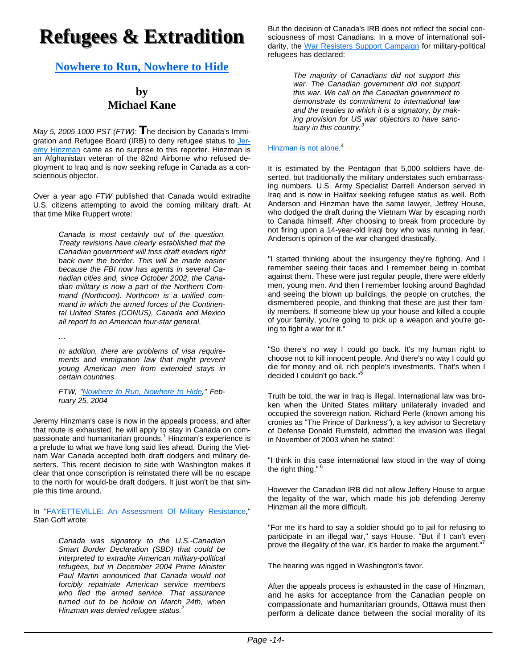# **Refugees & Extradition Refugees & Extradition**

# **Nowhere to Run, Nowhere to Hide**

# **by Michael Kane**

*May 5, 2005 1000 PST (FTW)*: **T**he decision by Canada's Immigration and Refugee Board (IRB) to deny refugee status to Jeremy Hinzman came as no surprise to this reporter. Hinzman is an Afghanistan veteran of the 82nd Airborne who refused deployment to Iraq and is now seeking refuge in Canada as a conscientious objector.

Over a year ago *FTW* published that Canada would extradite U.S. citizens attempting to avoid the coming military draft. At that time Mike Ruppert wrote:

> *Canada is most certainly out of the question. Treaty revisions have clearly established that the Canadian government will toss draft evaders right back over the border. This will be made easier because the FBI now has agents in several Canadian cities and, since October 2002, the Canadian military is now a part of the Northern Command (Northcom). Northcom is a unified command in which the armed forces of the Continental United States (CONUS), Canada and Mexico all report to an American four-star general.*

*…*

*In addition, there are problems of visa requirements and immigration law that might prevent young American men from extended stays in certain countries.*

*FTW, "Nowhere to Run, Nowhere to Hide," February 25, 2004*

Jeremy Hinzman's case is now in the appeals process, and after that route is exhausted, he will apply to stay in Canada on compassionate and humanitarian grounds.<sup>1</sup> Hinzman's experience is a prelude to what we have long said lies ahead. During the Vietnam War Canada accepted both draft dodgers and military deserters. This recent decision to side with Washington makes it clear that once conscription is reinstated there will be no escape to the north for would-be draft dodgers. It just won't be that simple this time around.

In "FAYETTEVILLE: An Assessment Of Military Resistance," Stan Goff wrote:

> *Canada was signatory to the U.S.-Canadian Smart Border Declaration (SBD) that could be interpreted to extradite American military-political refugees, but in December 2004 Prime Minister Paul Martin announced that Canada would not forcibly repatriate American service members who fled the armed service. That assurance turned out to be hollow on March 24th, when Hinzman was denied refugee status.<sup>2</sup>*

But the decision of Canada's IRB does not reflect the social consciousness of most Canadians. In a move of international solidarity, the War Resisters Support Campaign for military-political refugees has declared:

> *The majority of Canadians did not support this war. The Canadian government did not support this war. We call on the Canadian government to demonstrate its commitment to international law and the treaties to which it is a signatory, by making provision for US war objectors to have sanctuary in this country.3*

## Hinzman is not alone.<sup>4</sup>

It is estimated by the Pentagon that 5,000 soldiers have deserted, but traditionally the military understates such embarrassing numbers. U.S. Army Specialist Darrell Anderson served in Iraq and is now in Halifax seeking refugee status as well. Both Anderson and Hinzman have the same lawyer, Jeffrey House, who dodged the draft during the Vietnam War by escaping north to Canada himself. After choosing to break from procedure by not firing upon a 14-year-old Iraqi boy who was running in fear, Anderson's opinion of the war changed drastically.

"I started thinking about the insurgency they're fighting. And I remember seeing their faces and I remember being in combat against them. These were just regular people, there were elderly men, young men. And then I remember looking around Baghdad and seeing the blown up buildings, the people on crutches, the dismembered people, and thinking that these are just their family members. If someone blew up your house and killed a couple of your family, you're going to pick up a weapon and you're going to fight a war for it."

"So there's no way I could go back. It's my human right to choose not to kill innocent people. And there's no way I could go die for money and oil, rich people's investments. That's when I decided I couldn't go back."<sup>5</sup>

Truth be told, the war in Iraq is illegal. International law was broken when the United States military unilaterally invaded and occupied the sovereign nation. Richard Perle (known among his cronies as "The Prince of Darkness"), a key advisor to Secretary of Defense Donald Rumsfeld, admitted the invasion was illegal in November of 2003 when he stated:

"I think in this case international law stood in the way of doing the right thing."<sup>6</sup>

However the Canadian IRB did not allow Jeffery House to argue the legality of the war, which made his job defending Jeremy Hinzman all the more difficult.

"For me it's hard to say a soldier should go to jail for refusing to participate in an illegal war," says House. "But if I can't even prove the illegality of the war, it's harder to make the argument."

The hearing was rigged in Washington's favor.

After the appeals process is exhausted in the case of Hinzman, and he asks for acceptance from the Canadian people on compassionate and humanitarian grounds, Ottawa must then perform a delicate dance between the social morality of its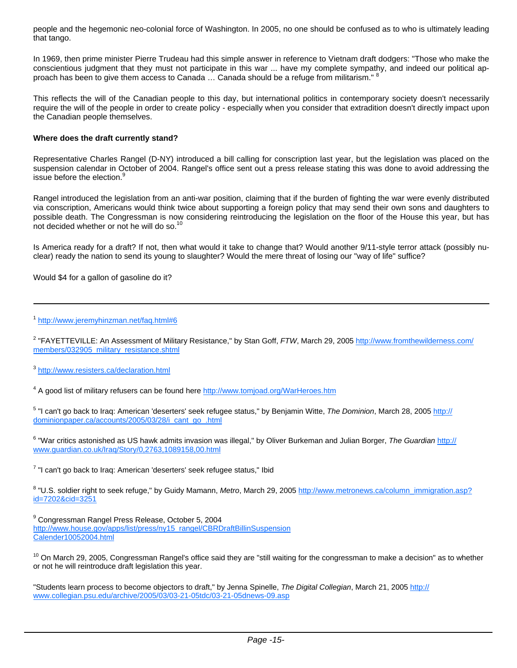people and the hegemonic neo-colonial force of Washington. In 2005, no one should be confused as to who is ultimately leading that tango.

In 1969, then prime minister Pierre Trudeau had this simple answer in reference to Vietnam draft dodgers: "Those who make the conscientious judgment that they must not participate in this war ... have my complete sympathy, and indeed our political approach has been to give them access to Canada ... Canada should be a refuge from militarism." <sup>8</sup>

This reflects the will of the Canadian people to this day, but international politics in contemporary society doesn't necessarily require the will of the people in order to create policy - especially when you consider that extradition doesn't directly impact upon the Canadian people themselves.

#### **Where does the draft currently stand?**

Representative Charles Rangel (D-NY) introduced a bill calling for conscription last year, but the legislation was placed on the suspension calendar in October of 2004. Rangel's office sent out a press release stating this was done to avoid addressing the issue before the election.<sup>9</sup>

Rangel introduced the legislation from an anti-war position, claiming that if the burden of fighting the war were evenly distributed via conscription, Americans would think twice about supporting a foreign policy that may send their own sons and daughters to possible death. The Congressman is now considering reintroducing the legislation on the floor of the House this year, but has not decided whether or not he will do so.<sup>10</sup>

Is America ready for a draft? If not, then what would it take to change that? Would another 9/11-style terror attack (possibly nuclear) ready the nation to send its young to slaughter? Would the mere threat of losing our "way of life" suffice?

Would \$4 for a gallon of gasoline do it?

# <sup>1</sup> http://www.jeremyhinzman.net/faq.html#6

<sup>2</sup> "FAYETTEVILLE: An Assessment of Military Resistance," by Stan Goff, FTW, March 29, 2005 http://www.fromthewilderness.com/ members/032905\_military\_resistance.shtml

<sup>3</sup> http://www.resisters.ca/declaration.html

<sup>4</sup> A good list of military refusers can be found here http://www.tomjoad.org/WarHeroes.htm

5 "I can't go back to Iraq: American 'deserters' seek refugee status," by Benjamin Witte, *The Dominion*, March 28, 2005 http:// dominionpaper.ca/accounts/2005/03/28/i\_cant\_go\_.html

<sup>6</sup> "War critics astonished as US hawk admits invasion was illegal," by Oliver Burkeman and Julian Borger, *The Guardian* http:// www.guardian.co.uk/Iraq/Story/0,2763,1089158,00.html

 $7$  "I can't go back to Iraq: American 'deserters' seek refugee status," Ibid

<sup>8</sup> "U.S. soldier right to seek refuge," by Guidy Mamann, *Metro*, March 29, 2005 http://www.metronews.ca/column\_immigration.asp? id=7202&cid=3251

<sup>9</sup> Congressman Rangel Press Release, October 5, 2004 http://www.house.gov/apps/list/press/ny15\_rangel/CBRDraftBillinSuspension Calender10052004.html

<sup>10</sup> On March 29, 2005, Congressman Rangel's office said they are "still waiting for the congressman to make a decision" as to whether or not he will reintroduce draft legislation this year.

"Students learn process to become objectors to draft," by Jenna Spinelle, *The Digital Collegian*, March 21, 2005 http:// www.collegian.psu.edu/archive/2005/03/03-21-05tdc/03-21-05dnews-09.asp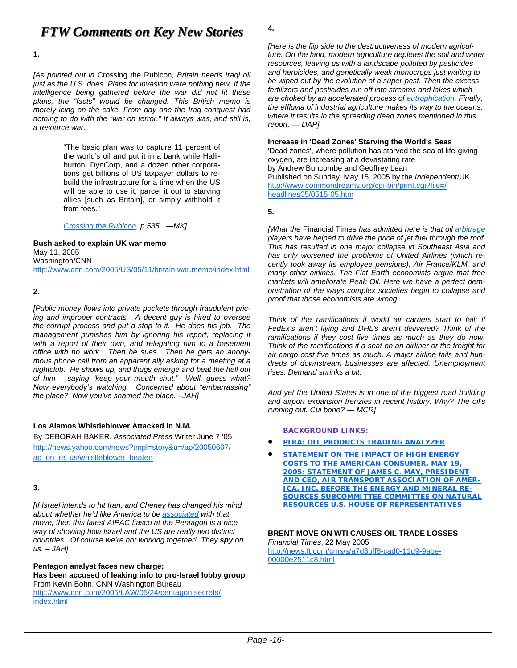**1.** 

*[As pointed out in* Crossing the Rubicon*, Britain needs Iraqi oil just as the U.S. does. Plans for invasion were nothing new. If the intelligence being gathered before the war did not fit these plans, the "facts" would be changed. This British memo is merely icing on the cake. From day one the Iraq conquest had nothing to do with the "war on terror." It always was, and still is, a resource war.* 

> "The basic plan was to capture 11 percent of the world's oil and put it in a bank while Halliburton, DynCorp, and a dozen other corporations get billions of US taxpayer dollars to rebuild the infrastructure for a time when the US will be able to use it, parcel it out to starving allies [such as Britain], or simply withhold it from foes."

#### *Crossing the Rubicon, p.535 —MK]*

## **Bush asked to explain UK war memo**

May 11, 2005 Washington/CNN http://www.cnn.com/2005/US/05/11/britain.war.memo/index.html

**2.** 

*[Public money flows into private pockets through fraudulent pricing and improper contracts. A decent guy is hired to oversee the corrupt process and put a stop to it. He does his job. The management punishes him by ignoring his report, replacing it with a report of their own, and relegating him to a basement office with no work. Then he sues. Then he gets an anonymous phone call from an apparent ally asking for a meeting at a nightclub. He shows up, and thugs emerge and beat the hell out of him – saying "keep your mouth shut." Well, guess what? Now everybody's watching. Concerned about "embarrassing" the place? Now you've shamed the place. –JAH]* 

#### **Los Alamos Whistleblower Attacked in N.M.**

By DEBORAH BAKER, *Associated Press* Writer June 7 '05 http://news.yahoo.com/news?tmpl=story&u=/ap/20050607/ ap\_on\_re\_us/whistleblower\_beaten

#### **3.**

*[If Israel intends to hit Iran, and Cheney has changed his mind about whether he'd like America to be associated with that move, then this latest AIPAC fiasco at the Pentagon is a nice way of showing how Israel and the US are really two distinct countries. Of course we're not working together! They spy on us. – JAH]* 

**Pentagon analyst faces new charge; Has been accused of leaking info to pro-Israel lobby group**  From Kevin Bohn, CNN Washington Bureau http://www.cnn.com/2005/LAW/05/24/pentagon.secrets/ index.html

*[Here is the flip side to the destructiveness of modern agriculture. On the land, modern agriculture depletes the soil and water resources, leaving us with a landscape polluted by pesticides and herbicides, and genetically weak monocrops just waiting to be wiped out by the evolution of a super-pest. Then the excess fertilizers and pesticides run off into streams and lakes which are choked by an accelerated process of eutrophication. Finally, the effluvia of industrial agriculture makes its way to the oceans, where it results in the spreading dead zones mentioned in this report. — DAP]* 

**Increase in 'Dead Zones' Starving the World's Seas** 

'Dead zones', where pollution has starved the sea of life-giving oxygen, are increasing at a devastating rate by Andrew Buncombe and Geoffrey Lean Published on Sunday, May 15, 2005 by the *Independent*/UK http://www.commondreams.org/cgi-bin/print.cgi?file=/ headlines05/0515-05.htm

**5.** 

**4.** 

*[What the* Financial Times *has admitted here is that oil arbitrage players have helped to drive the price of jet fuel through the roof. This has resulted in one major collapse in Southeast Asia and has only worsened the problems of United Airlines (which recently took away its employee pensions), Air France/KLM, and many other airlines. The Flat Earth economists argue that free markets will ameliorate Peak Oil. Here we have a perfect demonstration of the ways complex societies begin to collapse and proof that those economists are wrong.* 

*Think of the ramifications if world air carriers start to fail; if FedEx's aren't flying and DHL's aren't delivered? Think of the ramifications if they cost five times as much as they do now. Think of the ramifications if a seat on an airliner or the freight for air cargo cost five times as much. A major airline fails and hundreds of downstream businesses are affected. Unemployment rises. Demand shrinks a bit.* 

*And yet the United States is in one of the biggest road building and airport expansion frenzies in recent history. Why? The oil's running out. Cui bono? — MCR]* 

#### **BACKGROUND LINKS:**

- **PIRA: OIL PRODUCTS TRADING ANALYZER**
- **STATEMENT ON THE IMPACT OF HIGH ENERGY COSTS TO THE AMERICAN CONSUMER, MAY 19, 2005: STATEMENT OF JAMES C. MAY, PRESIDENT AND CEO, AIR TRANSPORT ASSOCIATION OF AMER-ICA, INC. BEFORE THE ENERGY AND MINERAL RE-SOURCES SUBCOMMITTEE COMMITTEE ON NATURAL RESOURCES U.S. HOUSE OF REPRESENTATIVES**

## **BRENT MOVE ON WTI CAUSES OIL TRADE LOSSES**

*Financial Times*, 22 May 2005 http://news.ft.com/cms/s/a7d3bff8-cad0-11d9-9abe-00000e2511c8.html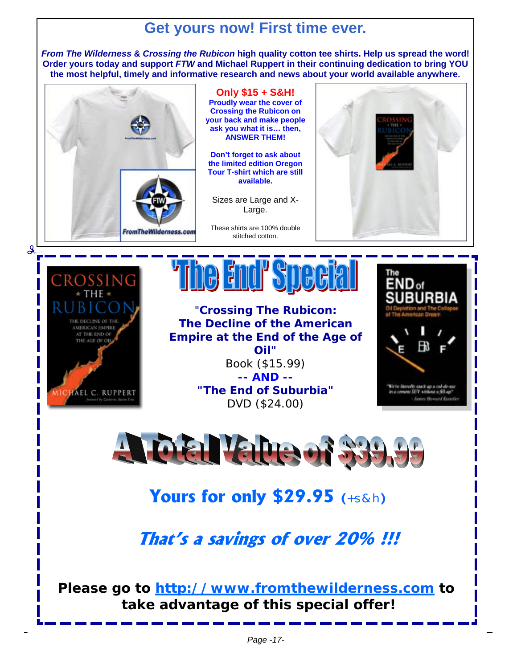# **Get yours now! First time ever.**

*From The Wilderness* **&** *Crossing the Rubicon* **high quality cotton tee shirts. Help us spread the word! Order yours today and support** *FTW* **and Michael Ruppert in their continuing dedication to bring YOU the most helpful, timely and informative research and news about your world available anywhere.** 



**Only \$15 + S&H! Proudly wear the cover of Crossing the Rubicon on your back and make people ask you what it is… then, ANSWER THEM!** 

**Don't forget to ask about the limited edition Oregon Tour T-shirt which are still available.** 

Sizes are Large and X-Large.

These shirts are 100% double stitched cotton.



The



**The End' Speela** "**Crossing The Rubicon: The Decline of the American Empire at the End of the Age of Oil"** *Book (\$15.99)*  **-- AND -- "The End of Suburbia"**  *DVD (\$24.00)* 



RBI/



# **Yours for only \$29.95 (**+s&h**)**

**That's a savings of over 20% !!!** 

**Please go to http://www.fromthewilderness.com to take advantage of this special offer!**